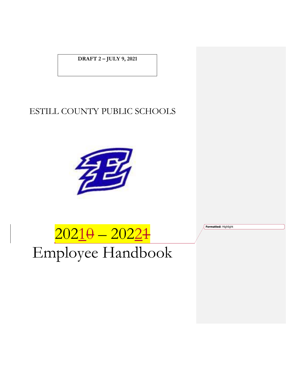**DRAFT 2 – JULY 9, 2021**

# ESTILL COUNTY PUBLIC SCHOOLS



# $20210 - 20224$ Employee Handbook

**Formatted:** Highlight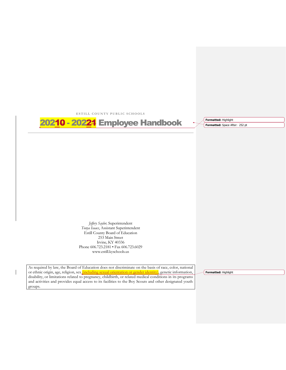ESTILL COUNTY PUBLIC SCHOOLS



**Formatted:** Highlight **Formatted:** Space After: 252 pt

*Jeffery Saylor,* Superintendent *Tonya Isaacs*, Assistant Superintendent Estill County Board of Education 253 Main Street Irvine, KY 40336 Phone 606.723.2181 • Fax 606.723.6029 www.estill.kyschools.us

As required by law, the Board of Education does not discriminate on the basis of race, color, national or ethnic origin, age, religion, sex *(including sexual orientation or gender identity)*, genetic information, disability, or limitations related to pregnancy, childbirth, or related medical conditions in its programs and activities and provides equal access to its facilities to the Boy Scouts and other designated youth groups.

 $\mathsf{l}$ 

**Formatted:** Highlight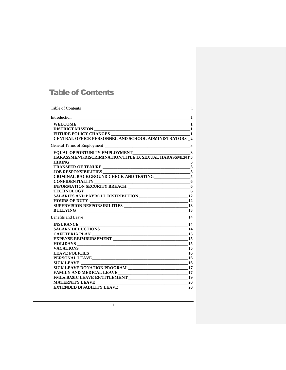# <span id="page-2-0"></span>Table of Contents

| <b>CENTRAL OFFICE PERSONNEL AND SCHOOL ADMINISTRATORS 2</b>                            |  |
|----------------------------------------------------------------------------------------|--|
|                                                                                        |  |
| EQUAL OPPORTUNITY EMPLOYMENT<br>HARASSMENT/DISCRIMINATION/TITLE IX SEXUAL HARASSMENT 3 |  |
|                                                                                        |  |
|                                                                                        |  |
|                                                                                        |  |
|                                                                                        |  |
|                                                                                        |  |
|                                                                                        |  |
|                                                                                        |  |
|                                                                                        |  |
|                                                                                        |  |
|                                                                                        |  |
|                                                                                        |  |
|                                                                                        |  |
|                                                                                        |  |
|                                                                                        |  |
|                                                                                        |  |
| SICK LEAVE                                                                             |  |
| 16                                                                                     |  |
|                                                                                        |  |
|                                                                                        |  |
|                                                                                        |  |
|                                                                                        |  |
|                                                                                        |  |

i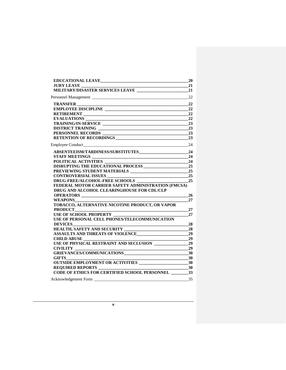|                                                                                                                                                                                                                                                         | 20 |
|---------------------------------------------------------------------------------------------------------------------------------------------------------------------------------------------------------------------------------------------------------|----|
| <b>JURY LEAVE</b>                                                                                                                                                                                                                                       | 21 |
|                                                                                                                                                                                                                                                         | 21 |
|                                                                                                                                                                                                                                                         | 22 |
| TRANSFER                                                                                                                                                                                                                                                | 22 |
|                                                                                                                                                                                                                                                         | 22 |
|                                                                                                                                                                                                                                                         |    |
|                                                                                                                                                                                                                                                         | 22 |
|                                                                                                                                                                                                                                                         | 23 |
|                                                                                                                                                                                                                                                         | 23 |
|                                                                                                                                                                                                                                                         |    |
| PERSONNEL RECORDS 23<br>RETENTION OF RECORDINGS 23                                                                                                                                                                                                      |    |
|                                                                                                                                                                                                                                                         | 24 |
| ABSENTEEISM/TARDINESS/SUBSTITUTES________________________                                                                                                                                                                                               | 24 |
|                                                                                                                                                                                                                                                         | 24 |
| POLITICAL ACTIVITIES                                                                                                                                                                                                                                    | 24 |
|                                                                                                                                                                                                                                                         | 25 |
|                                                                                                                                                                                                                                                         |    |
| CONTROVERSIAL ISSUES ___________                                                                                                                                                                                                                        | 25 |
|                                                                                                                                                                                                                                                         | 25 |
| FEDERAL MOTOR CARRIER SAFETY ADMINISTRATION (FMCSA)                                                                                                                                                                                                     |    |
| DRUG AND ALCOHOL CLEARINGHOUSE FOR CDL/CLP                                                                                                                                                                                                              |    |
|                                                                                                                                                                                                                                                         | 26 |
| WEAPONS                                                                                                                                                                                                                                                 | 27 |
| TOBACCO, ALTERNATIVE NICOTINE PRODUCT, OR VAPOR                                                                                                                                                                                                         |    |
|                                                                                                                                                                                                                                                         | 27 |
| USE OF SCHOOL PROPERTY                                                                                                                                                                                                                                  | 27 |
| USE OF PERSONAL CELL PHONES/TELECOMMUNICATION                                                                                                                                                                                                           |    |
| <b>DEVICES</b>                                                                                                                                                                                                                                          | 28 |
|                                                                                                                                                                                                                                                         | 28 |
| ASSAULTS AND THREATS OF VIOLENCE                                                                                                                                                                                                                        | 29 |
| <b>CHILD ABUSE</b><br>$\overline{\phantom{1.552111}}$ 29                                                                                                                                                                                                |    |
| USE OF PHYSICAL RESTRAINT AND SECLUSION                                                                                                                                                                                                                 | 29 |
| <b>CIVILITY</b><br><u> 1989 - Johann Harry Harry Harry Harry Harry Harry Harry Harry Harry Harry Harry Harry Harry Harry Harry Harry Harry Harry Harry Harry Harry Harry Harry Harry Harry Harry Harry Harry Harry Harry Harry Harry Harry Harry Ha</u> | 29 |
|                                                                                                                                                                                                                                                         |    |
| <b>GIFTS</b>                                                                                                                                                                                                                                            | 30 |
|                                                                                                                                                                                                                                                         |    |
| <b>REQUIRED REPORTS</b><br>30                                                                                                                                                                                                                           |    |
| CODE OF ETHICS FOR CERTIFIED SCHOOL PERSONNEL __________33                                                                                                                                                                                              |    |
| Acknowledgement Form                                                                                                                                                                                                                                    | 35 |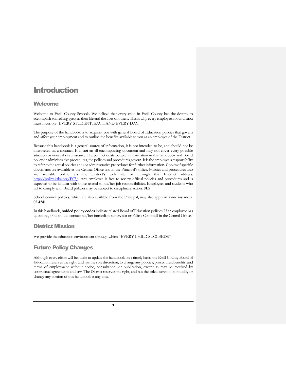# <span id="page-4-0"></span>Introduction

### <span id="page-4-1"></span>**Welcome**

Welcome to Estill County Schools. We believe that every child in Estill County has the destiny to accomplish something great in their life and the lives of others. This is why every employee in our district must focus on: EVERY STUDENT, EACH AND EVERY DAY.

The purpose of the handbook is to acquaint you with general Board of Education policies that govern and affect your employment and to outline the benefits available to you as an employee of the District.

Because this handbook is a general source of information, it is not intended to be, and should not be interpreted as, a contract. It is **not** an all-encompassing document and may not cover every possible situation or unusual circumstance. If a conflict exists between information in this handbook and Board policy or administrative procedures, the policies and procedures govern. It is the employee's responsibility to refer to the actual policies and/or administrative procedures for further information. Copies of specific documents are available at the Central Office and in the Principal's office. Policies and procedures also are available online via the District's web site or through this Internet address: [http://policy.ksba.org/E07/.](http://policy.ksba.org/E07/) Any employee is free to review official policies and procedures and is expected to be familiar with those related to his/her job responsibilities. Employees and students who fail to comply with Board policies may be subject to disciplinary action. **01.5**

School council policies, which are also available from the Principal, may also apply in some instances. **02.4241**

In this handbook, **bolded policy codes** indicate related Board of Education policies. If an employee has questions, s/he should contact his/her immediate supervisor or Felicia Campbell in the Central Office.

### <span id="page-4-2"></span>District Mission

We provide the education environment through which "EVERY CHILD SUCCEEDS".

### <span id="page-4-3"></span>Future Policy Changes

Although every effort will be made to update the handbook on a timely basis, the Estill County Board of Education reserves the right, and has the sole discretion, to change any policies, procedures, benefits, and terms of employment without notice, consultation, or publication, except as may be required by contractual agreements and law. The District reserves the right, and has the sole discretion, to modify or change any portion of this handbook at any time.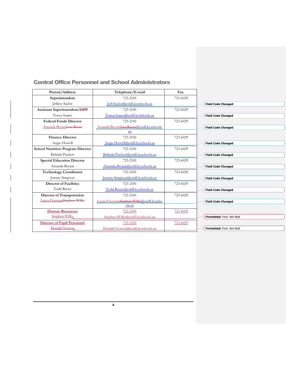### <span id="page-5-0"></span>Central Office Personnel and School Administrators

| Person/Address                           | Telephone/E-mail                                      | Fax      |                           |
|------------------------------------------|-------------------------------------------------------|----------|---------------------------|
| Superintendent                           | 723-2181                                              | 723-6029 |                           |
| Jeffery Saylor                           | Jeff.Saylor@estill.kyschools.us                       |          | <b>Field Code Changed</b> |
| <b>Assistant Superintendent /DPP</b>     | 723-2181                                              | 723-6029 |                           |
| Tonya Isaacs                             | Tonya.Isaacs@estill.kyschools.us                      |          | <b>Field Code Changed</b> |
| <b>Federal Funds Director</b>            | 723-2181                                              | 723-6029 |                           |
| Amanda BryantLisa Recee                  | Amanda.BryantLisa.Reece@estill.kyschools.             |          | <b>Field Code Changed</b> |
|                                          | $us$                                                  |          |                           |
| <b>Finance Director</b>                  | 723-2181                                              | 723-6029 |                           |
| Angie Howell                             | Angie.Howell@estill.kyschools.us                      |          | <b>Field Code Changed</b> |
| <b>School Nutrition Program Director</b> | 723-2181                                              | 723-6029 |                           |
| Belinda Puckett                          | Belinda.Puckett@estill.kyschools.us                   |          | <b>Field Code Changed</b> |
| <b>Special Education Director</b>        | 723-2181                                              | 723-6029 |                           |
| Amanda Bryant                            | Amanda.Brvant@estill.kyschools.us                     |          | <b>Field Code Changed</b> |
| <b>Technology Coordinator</b>            | 723-2181                                              | 723-6029 |                           |
| Jeremy Simpson                           | Jeremy.Simpson@estill.kyschools.us                    |          | <b>Field Code Changed</b> |
| <b>Director of Facilities</b>            | 723-2181                                              | 723-6029 |                           |
| <b>Todd Reece</b>                        | Todd.Reece@estill.kyschools.us                        |          | <b>Field Code Changed</b> |
| Director of Transportation               | 723-2181                                              | 723-6029 |                           |
| Laura FreemanStephen Willis              | aura.Freeman <del>Stephen.Willis</del> @estill.kyscho |          | <b>Field Code Changed</b> |
|                                          | ols.us                                                |          |                           |
| <b>Human Resources</b>                   | 723-2181                                              | 723-6029 |                           |
| Stephen Willis                           | Stephen. Willis@estill.kyschools.us                   |          | Formatted: Font: Not Bold |
| <b>Director of Pupil Personnel</b>       | 723-2181                                              | 723-6029 |                           |
| Donald Norton                            | Donald.Norton@estill.kyschools.us                     |          | Formatted: Font: Not Bold |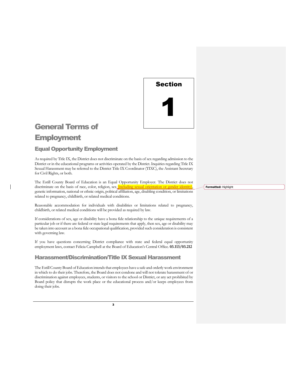

# <span id="page-6-0"></span>General Terms of **Employment**

### <span id="page-6-1"></span>Equal Opportunity Employment

As required by Title IX, the District does not discriminate on the basis of sex regarding admission to the District or in the educational programs or activities operated by the District. Inquiries regarding Title IX Sexual Harassment may be referred to the District Title IX Coordinator (TIXC), the Assistant Secretary for Civil Rights, or both.

The Estill County Board of Education is an Equal Opportunity Employer. The District does not discriminate on the basis of race, color, religion, sex *(including sexual orientation or gender identity)* genetic information, national or ethnic origin, political affiliation, age, disabling condition, or limitations related to pregnancy, childbirth, or related medical conditions.

Reasonable accommodation for individuals with disabilities or limitations related to pregnancy, childbirth, or related medical conditions will be provided as required by law.

If considerations of sex, age or disability have a bona fide relationship to the unique requirements of a particular job or if there are federal or state legal requirements that apply, then sex, age or disability may be taken into account as a bona fide occupational qualification, provided such consideration is consistent with governing law.

If you have questions concerning District compliance with state and federal equal opportunity employment laws, contact Felicia Campbell at the Board of Education's Central Office. **03.113/03.212**

### <span id="page-6-2"></span>Harassment/Discrimination/Title IX Sexual Harassment

The Estill CountyBoard of Education intends that employees have a safe and orderly work environment in which to do their jobs. Therefore, the Board does not condone and will not tolerate harassment of or discrimination against employees, students, or visitors to the school or District, or any act prohibited by Board policy that disrupts the work place or the educational process and/or keeps employees from doing their jobs.

**Formatted:** Highlight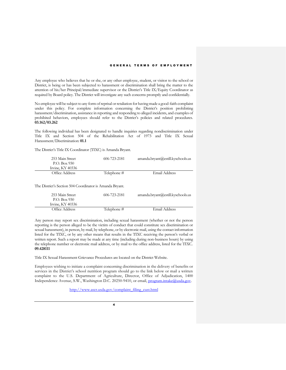Any employee who believes that he or she, or any other employee, student, or visitor to the school or District, is being or has been subjected to harassment or discrimination shall bring the matter to the attention of his/her Principal/immediate supervisor or the District's Title IX/Equity Coordinator as required by Board policy. The District will investigate any such concerns promptly and confidentially.

No employee will be subject to any form of reprisal or retaliation for having made a good-faith complaint under this policy. For complete information concerning the District's position prohibiting harassment/discrimination, assistance in reporting and responding to alleged incidents, and examples of prohibited behaviors, employees should refer to the District's policies and related procedures. **03.162/03.262**

The following individual has been designated to handle inquiries regarding nondiscrimination under Title IX and Section 504 of the Rehabilitation Act of 1973 and Title IX Sexual Harassment/Discrimination: **01.1**

The District's Title IX Coordinator (TIXC) is Amanda Bryant.

| 253 Main Street<br>P.O. Box 930 | 606-723-2181 | amanda.bryant@estill.kyschools.us |
|---------------------------------|--------------|-----------------------------------|
| Irvine, $KY$ 40336              |              |                                   |
| Office Address                  | Telephone #  | Email Address                     |

The District's Section 504 Coordinator is Amanda Bryant.

| 253 Main Street<br>P.O. Box 930 | 606-723-2181 | amanda.bryant@estill.kyschools.us |
|---------------------------------|--------------|-----------------------------------|
| Irvine, KY 40336                |              |                                   |
| Office Address                  | Telephone #  | Email Address                     |

Any person may report sex discrimination, including sexual harassment (whether or not the person reporting is the person alleged to be the victim of conduct that could constitute sex discrimination or sexual harassment), in person, by mail, by telephone, or by electronic mail, using the contact information listed for the TIXC, or by any other means that results in the TIXC receiving the person's verbal or written report. Such a report may be made at any time (including during non-business hours) by using the telephone number or electronic mail address, or by mail to the office address, listed for the TIXC. **09.428111**

Title IX Sexual Harassment Grievance Procedures are located on the District Website.

Employees wishing to initiate a complaint concerning discrimination in the delivery of benefits or services in the District's school nutrition program should go to the link below or mail a written complaint to the U.S. Department of Agriculture, Director, Office of Adjudication, 1400 Independence Avenue, S.W., Washington D.C. 20250-9410, or email[, program.intake@usda.gov.](mailto:program.intake@usda.gov)

[http://www.ascr.usda.gov/complaint\\_filing\\_cust.html](http://www.ascr.usda.gov/complaint_filing_cust.html)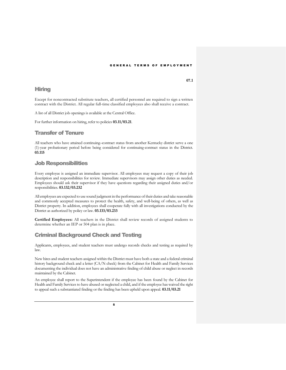**07.1**

#### <span id="page-8-0"></span>**Hiring**

Except for noncontracted substitute teachers, all certified personnel are required to sign a written contract with the District. All regular full-time classified employees also shall receive a contract.

A list of all District job openings is available at the Central Office.

For further information on hiring, refer to policies **03.11/03.21**.

### <span id="page-8-1"></span>Transfer of Tenure

All teachers who have attained continuing–contract status from another Kentucky district serve a one (1)-year probationary period before being considered for continuing-contract status in the District. **03.115**

### <span id="page-8-2"></span>Job Responsibilities

Every employee is assigned an immediate supervisor. All employees may request a copy of their job description and responsibilities for review. Immediate supervisors may assign other duties as needed. Employees should ask their supervisor if they have questions regarding their assigned duties and/or responsibilities. **03.132/03.232**

All employees are expected to use sound judgment in the performance of their duties and take reasonable and commonly accepted measures to protect the health, safety, and well-being of others, as well as District property. In addition, employees shall cooperate fully with all investigations conducted by the District as authorized by policy or law. **03.133/03.233**

**Certified Employees:** All teachers in the District shall review records of assigned students to determine whether an IEP or 504 plan is in place.

### <span id="page-8-3"></span>Criminal Background Check and Testing

Applicants, employees, and student teachers must undergo records checks and testing as required by law.

New hires and student teachers assigned within the District must have both a state and a federal criminal history background check and a letter (CA/N check) from the Cabinet for Health and Family Services documenting the individual does not have an administrative finding of child abuse or neglect in records maintained by the Cabinet.

An employee shall report to the Superintendent if the employee has been found by the Cabinet for Health and Family Services to have abused or neglected a child, and if the employee has waived the right to appeal such a substantiated finding or the finding has been upheld upon appeal. **03.11/03.21**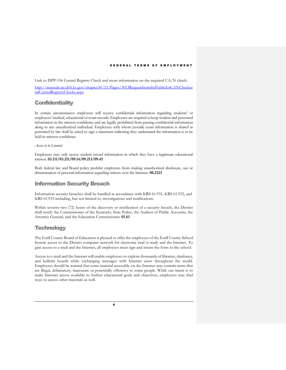Link to DPP-156 Central Registry Check and more information on the required CA/N check:

[http://manuals.sp.chfs.ky.gov/chapter30/33/Pages/3013RequestfromthePublicforCANChecksa](http://manuals.sp.chfs.ky.gov/chapter30/33/Pages/3013RequestfromthePublicforCANChecksandCentralRegistryChecks.aspx) [ndCentralRegistryChecks.aspx](http://manuals.sp.chfs.ky.gov/chapter30/33/Pages/3013RequestfromthePublicforCANChecksandCentralRegistryChecks.aspx)

### <span id="page-9-0"></span>**Confidentiality**

In certain circumstances employees will receive confidential information regarding students' or employees' medical, educational or court records. Employees are required to keep student and personnel information in the strictest confidence and are legally prohibited from passing confidential information along to any unauthorized individual. Employees with whom juvenile court information is shared as permitted by law shall be asked to sign a statement indicating they understand the information is to be held in strictest confidence.

#### *Access to be Limited*

Employees may only access student record information in which they have a legitimate educational interest. **03.111/03.211/09.14/09.213/09.43**

Both federal law and Board policy prohibit employees from making unauthorized disclosure, use or dissemination of personal information regarding minors over the Internet. **08.2323**

#### <span id="page-9-1"></span>Information Security Breach

Information security breaches shall be handled in accordance with KRS 61.931, KRS 61.932, and KRS 61.933 including, but not limited to, investigations and notifications.

Within seventy-two (72) hours of the discovery or notification of a security breach, the District shall notify the Commissioner of the Kentucky State Police, the Auditor of Public Accounts, the Attorney General, and the Education Commissioner. **01.61**

### <span id="page-9-2"></span>**Technology**

The Estill County Board of Education is pleased to offer the employees of the Estill County School System access to the District computer network for electronic mail (e-mail) and the Internet. To gain access to e-mail and the Internet, all employees must sign and return the form to the school.

Access to e-mail and the Internet will enable employees to explore thousands of libraries, databases, and bulletin boards while exchanging messages with Internet users throughout the world. Employees should be warned that some material accessible via the Internet may contain items that are illegal, defamatory, inaccurate or potentially offensive to some people. While our intent is to make Internet access available to further educational goals and objectives, employees may find ways to access other materials as well.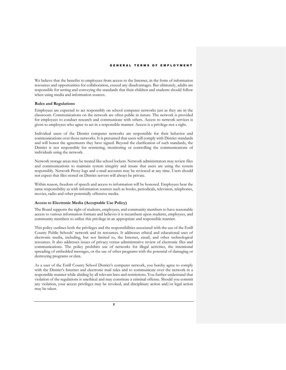We believe that the benefits to employees from access to the Internet, in the form of information resources and opportunities for collaboration, exceed any disadvantages. But ultimately, adults are responsible for setting and conveying the standards that their children and students should follow when using media and information sources.

#### **Rules and Regulations**

Employees are expected to act responsibly on school computer networks just as they are in the classroom. Communications on the network are often public in nature. The network is provided for employees to conduct research and communicate with others. Access to network services is given to employees who agree to act in a responsible manner. Access is a privilege-not a right.

Individual users of the District computer networks are responsible for their behavior and communications over those networks. It is presumed that users will comply with District standards and will honor the agreements they have signed. Beyond the clarification of such standards, the District is not responsible for restricting, monitoring or controlling the communications of individuals using the network.

Network storage areas may be treated like school lockers. Network administrators may review files and communications to maintain system integrity and insure that users are using the system responsibly. Network Proxy logs and e-mail accounts may be reviewed at any time. Users should not expect that files stored on District servers will always be private.

Within reason, freedom of speech and access to information will be honored. Employees bear the same responsibility as with information sources such as books, periodicals, television, telephones, movies, radio and other potentially offensive media.

#### **Access to Electronic Media (Acceptable Use Policy)**

The Board supports the right of students, employees, and community members to have reasonable access to various information formats and believes it is incumbent upon students, employees, and community members to utilize this privilege in an appropriate and responsible manner.

This policy outlines both the privileges and the responsibilities associated with the use of the Estill County Public Schools' network and its resources. It addresses ethical and educational uses of electronic media, including, but not limited to, the Internet, email, and other technological resources. It also addresses issues of privacy versus administrative review of electronic files and communications. The policy prohibits use of networks for illegal activities, the intentional spreading of embedded messages, or the use of other programs with the potential of damaging or destroying programs or data.

As a user of the Estill County School District's computer network, you hereby agree to comply with the District's Internet and electronic mail rules and to communicate over the network in a responsible manner while abiding by all relevant laws and restrictions. You further understand that violation of the regulations is unethical and may constitute a criminal offense. Should you commit any violation, your access privileges may be revoked, and disciplinary action and/or legal action may be taken.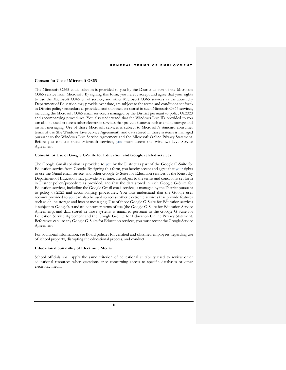#### **Consent for Use of Microsoft O365**

The Microsoft O365 email solution is provided to you by the District as part of the Microsoft O365 service from Microsoft. By signing this form, you hereby accept and agree that your rights to use the Microsoft O365 email service, and other Microsoft O365 services as the Kentucky Department of Education may provide over time, are subject to the terms and conditions set forth in District policy/procedure as provided, and that the data stored in such Microsoft O365 services, including the Microsoft O365 email service, is managed by the District pursuant to policy 08.2323 and accompanying procedures. You also understand that the Windows Live ID provided to you can also be used to access other electronic services that provide features such as online storage and instant messaging. Use of those Microsoft services is subject to Microsoft's standard consumer terms of use (the Windows Live Service Agreement), and data stored in those systems is managed pursuant to the Windows Live Service Agreement and the Microsoft Online Privacy Statement. Before you can use those Microsoft services, you must accept the Windows Live Service Agreement.

#### **Consent for Use of Google G-Suite for Education and Google related services**

The Google Gmail solution is provided to you by the District as part of the Google G-Suite for Education service from Google. By signing this form, you hereby accept and agree that your rights to use the Gmail email service, and other Google G-Suite for Education services as the Kentucky Department of Education may provide over time, are subject to the terms and conditions set forth in District policy/procedure as provided, and that the data stored in such Google G-Suite for Education services, including the Google Gmail email service, is managed by the District pursuant to policy 08.2323 and accompanying procedures. You also understand that the Google user account provided to you can also be used to access other electronic services that provide features such as online storage and instant messaging. Use of those Google G-Suite for Education services is subject to Google's standard consumer terms of use (the Google G-Suite for Education Service Agreement), and data stored in those systems is managed pursuant to the Google G-Suite for Education Service Agreement and the Google G-Suite for Education Online Privacy Statement. Before you can use any Google G-Suite for Education services, you must accept the Google Service Agreement.

For additional information, see Board policies for certified and classified employees, regarding use of school property, disrupting the educational process, and conduct.

#### **Educational Suitability of Electronic Media**

School officials shall apply the same criterion of educational suitability used to review other educational resources when questions arise concerning access to specific databases or other electronic media.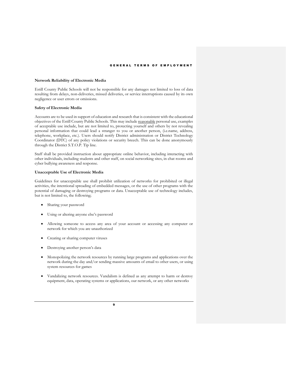#### **Network Reliability of Electronic Media**

Estill County Public Schools will not be responsible for any damages not limited to loss of data resulting from delays, non-deliveries, missed deliveries, or service interruptions caused by its own negligence or user errors or omissions.

#### **Safety of Electronic Media**

Accounts are to be used in support of education and research that is consistent with the educational objectives of the Estill County Public Schools. This may include reasonable personal use, examples of acceptable use include, but are not limited to, protecting yourself and others by not revealing personal information that could lead a stranger to you or another person, (i.e.name, address, telephone, workplace, etc.). Users should notify District administration or District Technology Coordinator (DTC) of any policy violations or security breech. This can be done anonymously through the District S.T.O.P. Tip line.

Staff shall be provided instruction about appropriate online behavior, including interacting with other individuals, including students and other staff, on social networking sites, in chat rooms and cyber bullying awareness and response.

#### **Unacceptable Use of Electronic Media**

Guidelines for unacceptable use shall prohibit utilization of networks for prohibited or illegal activities, the intentional spreading of embedded messages, or the use of other programs with the potential of damaging or destroying programs or data. Unacceptable use of technology includes, but is not limited to, the following;

- Sharing your password
- Using or altering anyone else's password
- Allowing someone to access any area of your account or accessing any computer or network for which you are unauthorized
- Creating or sharing computer viruses
- Destroying another person's data
- Monopolizing the network resources by running large programs and applications over the network during the day and/or sending massive amounts of email to other users, or using system resources for games
- Vandalizing network resources. Vandalism is defined as any attempt to harm or destroy equipment, data, operating systems or applications, our network, or any other networks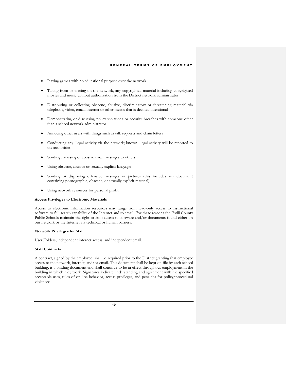- Playing games with no educational purpose over the network
- Taking from or placing on the network, any copyrighted material including copyrighted movies and music without authorization from the District network administrator
- Distributing or collecting obscene, abusive, discriminatory or threatening material via telephone, video, email, internet or other means that is deemed intentional
- Demonstrating or discussing policy violations or security breaches with someone other than a school network administrator
- Annoying other users with things such as talk requests and chain letters
- Conducting any illegal activity via the network; known illegal activity will be reported to the authorities
- Sending harassing or abusive email messages to others
- Using obscene, abusive or sexually explicit language
- Sending or displaying offensive messages or pictures (this includes any document containing pornographic, obscene, or sexually explicit material)
- Using network resources for personal profit

#### **Access Privileges to Electronic Materials**

Access to electronic information resources may range from read-only access to instructional software to full search capability of the Internet and to email. For these reasons the Estill County Public Schools maintain the right to limit access to software and/or documents found either on our network or the Internet via technical or human barriers.

#### **Network Privileges for Staff**

User Folders, independent internet access, and independent email.

#### **Staff Contracts**

A contract, signed by the employee, shall be required prior to the District granting that employee access to the network, internet, and/or email. This document shall be kept on file by each school building, is a binding document and shall continue to be in effect throughout employment in the building in which they work. Signatures indicate understanding and agreement with the specified acceptable uses, rules of on-line behavior, access privileges, and penalties for policy/procedural violations.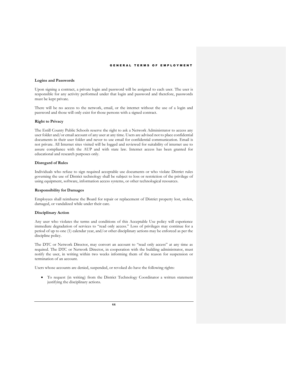#### **Logins and Passwords**

Upon signing a contract, a private login and password will be assigned to each user. The user is responsible for any activity performed under that login and password and therefore, passwords must be kept private.

There will be no access to the network, email, or the internet without the use of a login and password and those will only exist for those persons with a signed contract.

#### **Right to Privacy**

The Estill County Public Schools reserve the right to ask a Network Administrator to access any user folder and/or email account of any user at any time. Users are advised not to place confidential documents in their user folder and never to use email for confidential communication. Email is not private. All Internet sites visited will be logged and reviewed for suitability of internet use to assure compliance with the AUP and with state law. Internet access has been granted for educational and research purposes only.

#### **Disregard of Rules**

Individuals who refuse to sign required acceptable use documents or who violate District rules governing the use of District technology shall be subject to loss or restriction of the privilege of using equipment, software, information access systems, or other technological resources.

#### **Responsibility for Damages**

Employees shall reimburse the Board for repair or replacement of District property lost, stolen, damaged, or vandalized while under their care.

#### **Disciplinary Action**

Any user who violates the terms and conditions of this Acceptable Use policy will experience immediate degradation of services to "read only access." Loss of privileges may continue for a period of up to one (1) calendar year, and/or other disciplinary actions may be enforced as per the discipline policy.

The DTC or Network Director, may convert an account to "read only access" at any time as required. The DTC or Network Director, in cooperation with the building administrator, must notify the user, in writing within two weeks informing them of the reason for suspension or termination of an account.

Users whose accounts are denied, suspended, or revoked do have the following rights:

 To request (in writing) from the District Technology Coordinator a written statement justifying the disciplinary actions.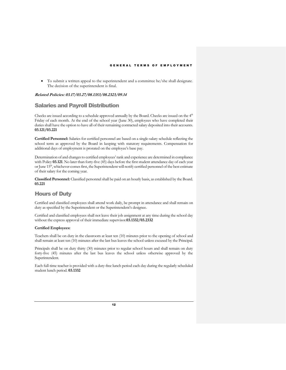To submit a written appeal to the superintendent and a committee he/she shall designate. The decision of the superintendent is final.

#### **Related Policies: 03.17/03.27/08.1353/08.2323/09.14**

### <span id="page-15-0"></span>Salaries and Payroll Distribution

Checks are issued according to a schedule approved annually by the Board. Checks are issued on the 4<sup>th</sup> Friday of each month. At the end of the school year (June 30), employees who have completed their duties shall have the option to have all of their remaining contracted salary deposited into their accounts. **03.121/03.221**

**Certified Personnel:** Salaries for certified personnel are based on a single-salary schedule reflecting the school term as approved by the Board in keeping with statutory requirements. Compensation for additional days of employment is prorated on the employee's base pay.

Determination of and changes to certified employees' rank and experience are determined in compliance with Policy **03.121**. No later than forty-five (45) days before the first student attendance day of each year or June 15<sup>th</sup>, whichever comes first, the Superintendent will notify certified personnel of the best estimate of their salary for the coming year.

**Classified Personnel:** Classified personnel shall be paid on an hourly basis, as established by the Board. **03.221**

### <span id="page-15-1"></span>Hours of Duty

Certified and classified employees shall attend work daily, be prompt in attendance and shall remain on duty as specified by the Superintendent or the Superintendent's designee.

Certified and classified employees shall not leave their job assignment at any time during the school day without the express approval of their immediate supervisor.**03.1332/03.2332**

#### **Certified Employees:**

Teachers shall be on duty in the classroom at least ten (10) minutes prior to the opening of school and shall remain at least ten (10) minutes after the last bus leaves the school unless excused by the Principal.

Principals shall be on duty thirty (30) minutes prior to regular school hours and shall remain on duty forty-five (45) minutes after the last bus leaves the school unless otherwise approved by the Superintendent.

Each full-time teacher is provided with a duty-free lunch period each day during the regularly scheduled student lunch period. **03.1332**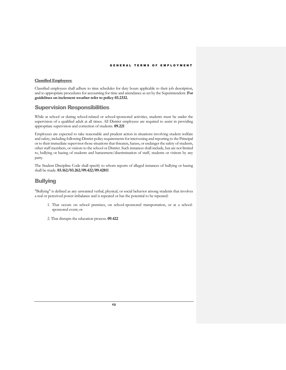#### **Classified Employees:**

Classified employees shall adhere to time schedules for duty hours applicable to their job description, and to appropriate procedures for accounting for time and attendance as set by the Superintendent. **For guidelines on inclement weather refer to policy 03.2332.**

### <span id="page-16-0"></span>Supervision Responsibilities

While at school or during school-related or school-sponsored activities, students must be under the supervision of a qualified adult at all times. All District employees are required to assist in providing appropriate supervision and correction of students. **09.221**

Employees are expected to take reasonable and prudent action in situations involving student welfare and safety, including following District policy requirements for intervening and reporting to the Principal or to their immediate supervisor those situations that threaten, harass, or endanger the safety of students, other staff members, or visitors to the school or District. Such instances shall include, but are not limited to, bullying or hazing of students and harassment/discrimination of staff, students or visitors by any party.

The Student Discipline Code shall specify to whom reports of alleged instances of bullying or hazing shall be made. **03.162/03.262/09.422/09.42811**

### <span id="page-16-1"></span>Bullying

"Bullying" is defined as any unwanted verbal, physical, or social behavior among students that involves a real or perceived power imbalance and is repeated or has the potential to be repeated:

- 1. That occurs on school premises, on school-sponsored transportation, or at a schoolsponsored event; or
- 2. That disrupts the education process. **09.422**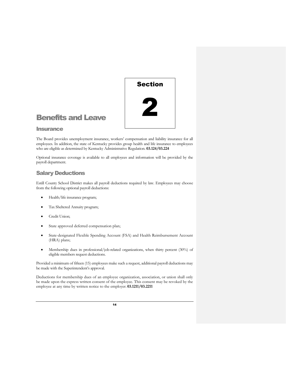

# <span id="page-17-0"></span>Benefits and Leave

### <span id="page-17-1"></span>**Insurance**

The Board provides unemployment insurance, workers' compensation and liability insurance for all employees. In addition, the state of Kentucky provides group health and life insurance to employees who are eligible as determined by Kentucky Administrative Regulation. **03.124/03.224**

Optional insurance coverage is available to all employees and information will be provided by the payroll department.

### <span id="page-17-2"></span>Salary Deductions

Estill County School District makes all payroll deductions required by law. Employees may choose from the following optional payroll deductions:

- Health/life insurance program;
- Tax Sheltered Annuity program;
- Credit Union;
- State approved deferred compensation plan;
- State-designated Flexible Spending Account (FSA) and Health Reimbursement Account (HRA) plans;
- Membership dues in professional/job-related organizations, when thirty percent (30%) of eligible members request deductions.

Provided a minimum of fifteen (15) employees make such a request, additional payroll deductions may be made with the Superintendent's approval.

Deductions for membership dues of an employee organization, association, or union shall only be made upon the express written consent of the employee. This consent may be revoked by the employee at any time by written notice to the employer. **03.1211/03.2211**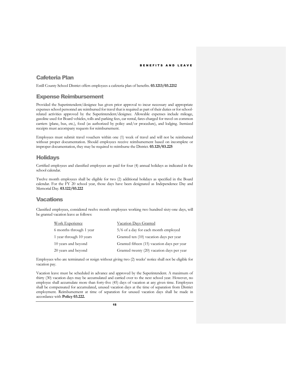### <span id="page-18-0"></span>Cafeteria Plan

Estill County School District offers employees a cafeteria plan of benefits. **03.1213/03.2212**

### <span id="page-18-1"></span>Expense Reimbursement

Provided the Superintendent/designee has given prior approval to incur necessary and appropriate expenses school personnel are reimbursed for travel that is required as part of their duties or for schoolrelated activities approved by the Superintendent/designee. Allowable expenses include mileage, gasoline used for Board vehicles, tolls and parking fees, car rental, fares charged for travel on common carriers (plane, bus, etc.), food (as authorized by policy and/or procedure), and lodging. Itemized receipts must accompany requests for reimbursement.

Employees must submit travel vouchers within one (1) week of travel and will not be reimbursed without proper documentation. Should employees receive reimbursement based on incomplete or improper documentation, they may be required to reimburse the District. **03.125/03.225**

### <span id="page-18-2"></span>**Holidays**

Certified employees and classified employees are paid for four (4) annual holidays as indicated in the school calendar.

Twelve month employees shall be eligible for two (2) additional holidays as specified in the Board calendar. For the FY 20 school year, those days have been designated as Independence Day and Memorial Day. **03.122/03.222**

### <span id="page-18-3"></span>**Vacations**

Classified employees, considered twelve month employees working two hundred sixty-one days, will be granted vacation leave as follows:

| Work Experience<br>Vacation Days Granted |                                             |
|------------------------------------------|---------------------------------------------|
| 6 months through 1 year                  | 5/6 of a day for each month employed        |
| 1 year through 10 years                  | Granted ten (10) vacation days per year     |
| 10 years and beyond                      | Granted fifteen (15) vacation days per year |
| 20 years and beyond                      | Granted twenty (20) vacation days per year  |

Employees who are terminated or resign without giving two (2) weeks' notice shall not be eligible for vacation pay.

Vacation leave must be scheduled in advance and approved by the Superintendent. A maximum of thirty (30) vacation days may be accumulated and carried over to the next school year. However, no employee shall accumulate more than forty-five (45) days of vacation at any given time. Employees shall be compensated for accumulated, unused vacation days at the time of separation from District employment. Reimbursement at time of separation for unused vacation days shall be made in accordance with **Policy 03.222.**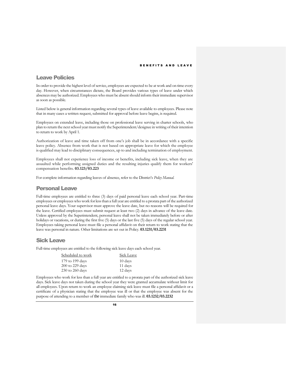### <span id="page-19-0"></span>Leave Policies

In order to provide the highest level of service, employees are expected to be at work and on time every day. However, when circumstances dictate, the Board provides various types of leave under which absences may be authorized. Employees who must be absent should inform their immediate supervisor as soon as possible.

Listed below is general information regarding several types of leave available to employees. Please note that in many cases a written request, submitted for approval before leave begins, is required.

Employees on extended leave, including those on professional leave serving in charter schools, who plan to return the next school year must notify the Superintendent/designee in writing of their intention to return to work by April 1.

Authorization of leave and time taken off from one's job shall be in accordance with a specific leave policy. Absence from work that is not based on appropriate leave for which the employee is qualified may lead to disciplinary consequences, up to and including termination of employment.

Employees shall not experience loss of income or benefits, including sick leave, when they are assaulted while performing assigned duties and the resulting injuries qualify them for workers' compensation benefits. **03.123/03.223**

For complete information regarding leaves of absence, refer to the District's *Policy Manual*.

#### <span id="page-19-1"></span>Personal Leave

Full-time employees are entitled to three (3) days of paid personal leave each school year. Part-time employees or employees who work for less than a full year are entitled to a prorata part of the authorized personal leave days. Your supervisor must approve the leave date, but no reasons will be required for the leave. Certified employees must submit request at least two (2) days in advance of the leave date. Unless approved by the Superintendent, personal leave shall not be taken immediately before or after holidays or vacations, or during the first five (5) days or the last five (5) days of the regular school year. Employees taking personal leave must file a personal affidavit on their return to work stating that the leave was personal in nature. Other limitations are set out in Policy. **03.1231/03.2231**

### <span id="page-19-2"></span>Sick Leave

Full-time employees are entitled to the following sick leave days each school year.

| Scheduled to work   | Sick Leave |
|---------------------|------------|
| 179 to 199 days     | 10 days    |
| 200 to 229 days     | 11 days    |
| $230$ to $260$ days | 12 days    |

Employees who work for less than a full year are entitled to a prorata part of the authorized sick leave days. Sick leave days not taken during the school year they were granted accumulate without limit for all employees. Upon return to work an employee claiming sick leave must file a personal affidavit or a certificate of a physician stating that the employee was ill or that the employee was absent for the purpose of attending to a member of the immediate family who was ill. **03.1232/03.2232**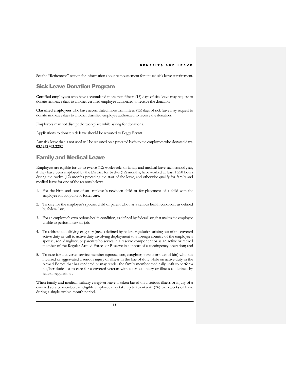See the "Retirement" section for information about reimbursement for unused sick leave at retirement.

### <span id="page-20-0"></span>Sick Leave Donation Program

**Certified employees** who have accumulated more than fifteen (15) days of sick leave may request to donate sick leave days to another certified employee authorized to receive the donation.

**Classified employees** who have accumulated more than fifteen (15) days of sick leave may request to donate sick leave days to another classified employee authorized to receive the donation.

Employees may not disrupt the workplace while asking for donations.

Applications to donate sick leave should be returned to Peggy Bryant.

Any sick leave that is not used will be returned on a prorated basis to the employees who donated days. **03.1232/03.2232**

### <span id="page-20-1"></span>Family and Medical Leave

Employees are eligible for up to twelve (12) workweeks of family and medical leave each school year, if they have been employed by the District for twelve (12) months, have worked at least 1,250 hours during the twelve (12) months preceding the start of the leave, and otherwise qualify for family and medical leave for one of the reasons below:

- 1. For the birth and care of an employee's newborn child or for placement of a child with the employee for adoption or foster care;
- 2. To care for the employee's spouse, child or parent who has a serious health condition, as defined by federal law;
- 3. For an employee's own serious health condition, as defined by federal law, that makes the employee unable to perform her/his job.
- 4. To address a qualifying exigency (need) defined by federal regulation arising out of the covered active duty or call to active duty involving deployment to a foreign country of the employee's spouse, son, daughter, or parent who serves in a reserve component or as an active or retired member of the Regular Armed Forces or Reserve in support of a contingency operation; and
- 5. To care for a covered service member (spouse, son, daughter, parent or next of kin) who has incurred or aggravated a serious injury or illness in the line of duty while on active duty in the Armed Forces that has rendered or may render the family member medically unfit to perform his/her duties or to care for a covered veteran with a serious injury or illness as defined by federal regulations.

When family and medical military caregiver leave is taken based on a serious illness or injury of a covered service member, an eligible employee may take up to twenty-six (26) workweeks of leave during a single twelve-month period.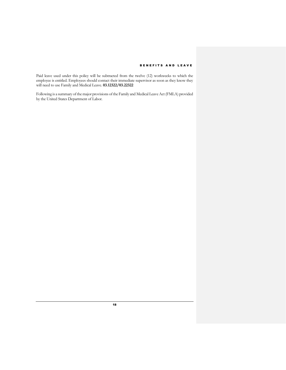Paid leave used under this policy will be subtracted from the twelve (12) workweeks to which the employee is entitled. Employees should contact their immediate supervisor as soon as they know they will need to use Family and Medical Leave. **03.12322/03.22322**

Following is a summary of the major provisions of the Family and Medical Leave Act (FMLA) provided by the United States Department of Labor.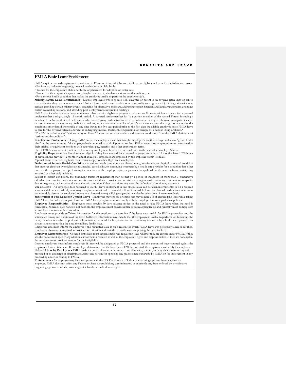#### B E N E F I T S A N D L E A V E

#### <span id="page-22-0"></span>**FMLABasic Leave Entitlement**

FMLA requires covered employers to provide up to 12 weeks of unpaid, job-protected leave to eligible employees for the following reasons: • For incapacity due to pregnancy, prenatal medical care or child birth; • To care for the employee's child after birth, or placement for adoption or foster care;

• To care for the employee's spouse, son, daughter or parent, who has a serious health condition; or

• For a serious health condition that makes the employee unable to perform the employee's job.

**Military Family Leave Entitlements -** Eligible employees whose spouse, son, daughter or parent is on covered active duty or call to covered active duty status may use their 12-week leave entitlement to address certain qualifying exigencies. Qualifying exigencies may include attending certain military events, arranging for alternative childcare, addressing certain financial and legal arrangements, attending<br>certain counseling sessions, and attending post-deployment reintegration briefi

FMLA also includes a special leave entitlement that permits eligible employees to take up to 26 weeks of leave to care for a covered servicemember during a single 12-month period. A covered servicemember is: (1) a current member of the Armed Forces, including a<br>member of the National Guard or Reserves, who is undergoing medical treatment, recuperation o or is otherwise on the temporary disability retired list, for a serious injury or illness\*; or (2) a veteran who was discharged or released under conditions other than dishonorable at any time during the five-year period prior to the first date the eligible employee takes FMLA leave

to care for the covered veteran, and who is undergoing medical treatment, recuperation, or therapy for a serious injury or illness.\*<br>\*The FMLA definitions of "serious injury or illness" for current servicemembers and veter serious health condition".

**Benefits and Protections -** During FMLA leave, the employer must maintain the employee's health coverage under any "group health plan" on the same terms as if the employee had continued to work. Upon return from FMLA leave, most employees must be restored to their original or equivalent positions with equivalent pay, benefits, and other employment terms.

Use of FMLA leave cannot result in the loss of any employment benefit that accrued prior to the start of an employee's leave.<br>**Eligibility Requirements -** Employees are eligible if they have worked for a covered employer f

of service in the previous 12 months\*, and if at least 50 employees are employed by the employer within 75 miles.

Special hours of service eligibility requirements apply to airline flight crew employees.

**Definition of Serious Health Condition -** A serious health condition is an illness, injury, impairment, or physical or mental condition that involves either an overnight stay in a medical care facility, or continuing treatment by a health care provider for a condition that either prevents the employee from performing the functions of the employee's job, or prevents the qualified family member from participating in school or other daily activities.

Subject to certain conditions, the continuing treatment requirement may be met by a period of incapacity of more than 3 consecutive calendar days combined with at least two visits to a health care provider or one visit and a regimen of continuing treatment, or incapacity due to pregnancy, or incapacity due to a chronic condition. Other conditions may meet the definition of continuing treatment.

**Use of Leave -** An employee does not need to use this leave entitlement in one block. Leave can be taken intermittently or on a reduced leave schedule when medically necessary. Employees must make reasonable efforts to schedule leave for planned medical treatment so as not to unduly disrupt the employer's operations. Leave due to qualifying exigencies may also be taken on an intermittent basis.

**Substitution of Paid Leave for Unpaid Leave -** Employees may choose or employers may require use of accrued paid leave while taking FMLA leave. In order to use paid leave for FMLA leave, employees must comply with the employer's normal paid leave policies.

**Employee Responsibilities -** Employees must provide 30 days advance notice of the need to take FMLA leave when the need is<br>foreseeable. When 30 days notice is not possible, the employee must provide notice as soon as prac seeable. When 30 days notice is not possible, the employee must provide notice as soon as practicable and generally must comply with an employer's normal call-in procedures.<br>Employees must provide sufficient information for the employer to determine if the leave may qualify for FMLA protection and the

anticipated timing and duration of the leave. Sufficient information may include that the employee is unable to perform job functions, the family member is unable to perform daily activities, the need for hospitalization or continuing treatment by a health care provider, or circumstances supporting the need for military family leave.

Employees also must inform the employer if the requested leave is for a reason for which FMLA leave was previously taken or certified. Employees also may be required to provide a certification and periodic recertification supporting the need for leave.

**Employer Responsibilities -** Covered employers must inform employees requesting leave whether they are eligible under FMLA. If they<br>are, the notice must specify any additional information required as well as the employees the employer must provide a reason for the ineligibility. Covered employers must inform employees if leave will be designated as FMLA-protected and the amount of leave counted against the

employee's leave entitlement. If the employer determines that the leave is not FMLA-protected, the employer must notify the employee. **Unlawful Acts by Employers -** FMLA makes it unlawful for any employer to: interfere with, restrain, or deny the exercise of any right provided or to discharge or discriminate against any person for opposing any practice made unlawful by FMLA or for involvement in any proceeding under or relating to FMLA.

**Enforcement -** An employee may file a complaint with the U.S. Department of Labor or may bring a private lawsuit against an employer. FMLA does not affect any Federal or State law prohibiting discrimination, or supersede any State or local law or collective bargaining agreement which provides greater family or medical leave rights.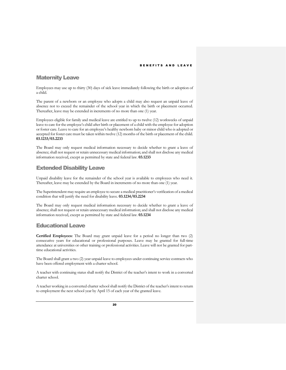### <span id="page-23-0"></span>Maternity Leave

Employees may use up to thirty (30) days of sick leave immediately following the birth or adoption of a child.

The parent of a newborn or an employee who adopts a child may also request an unpaid leave of absence not to exceed the remainder of the school year in which the birth or placement occurred. Thereafter, leave may be extended in increments of no more than one (1) year.

Employees eligible for family and medical leave are entitled to up to twelve (12) workweeks of unpaid leave to care for the employee's child after birth or placement of a child with the employee for adoption or foster care. Leave to care for an employee's healthy newborn baby or minor child who is adopted or accepted for foster care must be taken within twelve (12) months of the birth or placement of the child. **03.1233/03.2233**

The Board may only request medical information necessary to decide whether to grant a leave of absence; shall not request or retain unnecessary medical information; and shall not disclose any medical information received, except as permitted by state and federal law. **03.1233**

### <span id="page-23-1"></span>Extended Disability Leave

Unpaid disability leave for the remainder of the school year is available to employees who need it. Thereafter, leave may be extended by the Board in increments of no more than one (1) year.

The Superintendent may require an employee to secure a medical practitioner's verification of a medical condition that will justify the need for disability leave. **03.1234/03.2234**

The Board may only request medical information necessary to decide whether to grant a leave of absence; shall not request or retain unnecessary medical information; and shall not disclose any medical information received, except as permitted by state and federal law. **03.1234**

### <span id="page-23-2"></span>Educational Leave

**Certified Employees:** The Board may grant unpaid leave for a period no longer than two (2) consecutive years for educational or professional purposes. Leave may be granted for full-time attendance at universities or other training or professional activities. Leave will not be granted for parttime educational activities.

The Board shall grant a two (2) year unpaid leave to employees under continuing service contracts who have been offered employment with a charter school.

A teacher with continuing status shall notify the District of the teacher's intent to work in a converted charter school.

A teacher working in a converted charter school shall notify the District of the teacher's intent to return to employment the next school year by April 15 of each year of the granted leave.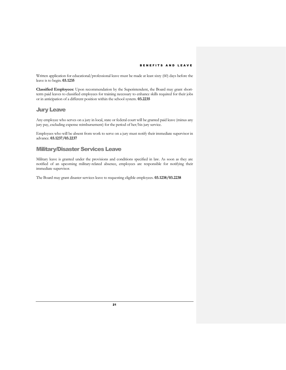Written application for educational/professional leave must be made at least sixty (60) days before the leave is to begin. **03.1235**

**Classified Employees:** Upon recommendation by the Superintendent, the Board may grant shortterm paid leaves to classified employees for training necessary to enhance skills required for their jobs or in anticipation of a different position within the school system. **03.2235**

### <span id="page-24-0"></span>Jury Leave

Any employee who serves on a jury in local, state or federal court will be granted paid leave (minus any jury pay, excluding expense reimbursement) for the period of her/his jury service.

Employees who will be absent from work to serve on a jury must notify their immediate supervisor in advance. **03.1237/03.2237**

### <span id="page-24-1"></span>Military/Disaster Services Leave

Military leave is granted under the provisions and conditions specified in law. As soon as they are notified of an upcoming military-related absence, employees are responsible for notifying their immediate supervisor.

The Board may grant disaster services leave to requesting eligible employees. **03.1238/03.2238**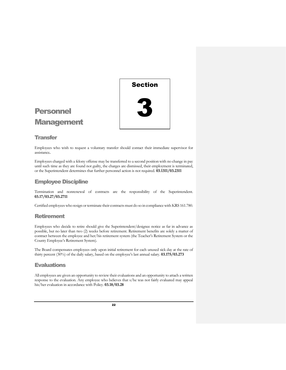

# <span id="page-25-0"></span>Personnel Management

### <span id="page-25-1"></span>**Transfer**

Employees who wish to request a voluntary transfer should contact their immediate supervisor for assistance**.**

Employees charged with a felony offense may be transferred to a second position with no change in pay until such time as they are found not guilty, the charges are dismissed, their employment is terminated, or the Superintendent determines that further personnel action is not required. **03.1311/03.2311**

### <span id="page-25-2"></span>Employee Discipline

Termination and nonrenewal of contracts are the responsibility of the Superintendent. **03.17/03.27/03.2711**

Certified employees who resign or terminate their contracts must do so in compliance with KRS 161.780.

### <span id="page-25-3"></span>Retirement

Employees who decide to retire should give the Superintendent/designee notice as far in advance as possible, but no later than two (2) weeks before retirement. Retirement benefits are solely a matter of contract between the employee and her/his retirement system (the Teacher's Retirement System or the County Employee's Retirement System).

The Board compensates employees only upon initial retirement for each unused sick day at the rate of thirty percent (30%) of the daily salary, based on the employee's last annual salary. **03.175/03.273**

### <span id="page-25-4"></span>**Evaluations**

All employees are given an opportunity to review their evaluations and an opportunity to attach a written response to the evaluation. Any employee who believes that s/he was not fairly evaluated may appeal his/her evaluation in accordance with Policy. **03.18/03.28**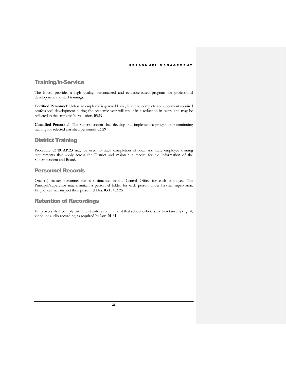#### PERSONNEL MANAGEMENT

### <span id="page-26-0"></span>Training/In-Service

The Board provides a high quality, personalized and evidence-based program for professional development and staff trainings.

**Certified Personnel:** Unless an employee is granted leave, failure to complete and document required professional development during the academic year will result in a reduction in salary and may be reflected in the employee's evaluation. **03.19**

**Classified Personnel**: The Superintendent shall develop and implement a program for continuing training for selected classified personnel. **03.29**

### <span id="page-26-1"></span>District Training

Procedure **03.19 AP.23** may be used to track completion of local and state employee training requirements that apply across the District and maintain a record for the information of the Superintendent and Board.

### <span id="page-26-2"></span>Personnel Records

One (1) master personnel file is maintained in the Central Office for each employee. The Principal/supervisor may maintain a personnel folder for each person under his/her supervision. Employees may inspect their personnel files. **03.15/03.25**

### <span id="page-26-3"></span>Retention of Recordings

Employees shall comply with the statutory requirement that school officials are to retain any digital, video, or audio recording as required by law. **01.61**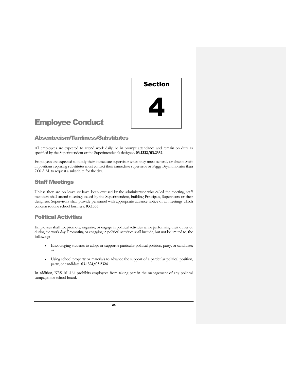

# <span id="page-27-0"></span>Employee Conduct

### <span id="page-27-1"></span>Absenteeism/Tardiness/Substitutes

All employees are expected to attend work daily, be in prompt attendance and remain on duty as specified by the Superintendent or the Superintendent's designee. **03.1332/03.2332**

Employees are expected to notify their immediate supervisor when they must be tardy or absent. Staff in positions requiring substitutes must contact their immediate supervisor or Peggy Bryant no later than 7:00 A.M. to request a substitute for the day.

### <span id="page-27-2"></span>Staff Meetings

Unless they are on leave or have been excused by the administrator who called the meeting, staff members shall attend meetings called by the Superintendent, building Principals, Supervisors or their designees. Supervisors shall provide personnel with appropriate advance notice of all meetings which concern routine school business. **03.1335**

### <span id="page-27-3"></span>Political Activities

Employees shall not promote, organize, or engage in political activities while performing their duties or during the work day. Promoting or engaging in political activities shall include, but not be limited to, the following:

- Encouraging students to adopt or support a particular political position, party, or candidate; or
- Using school property or materials to advance the support of a particular political position, party, or candidate. **03.1324/03.2324**

In addition, KRS 161.164 prohibits employees from taking part in the management of any political campaign for school board.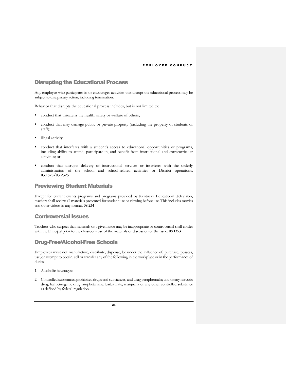### <span id="page-28-0"></span>Disrupting the Educational Process

Any employee who participates in or encourages activities that disrupt the educational process may be subject to disciplinary action, including termination.

Behavior that disrupts the educational process includes, but is not limited to:

- conduct that threatens the health, safety or welfare of others;
- conduct that may damage public or private property (including the property of students or staff);
- illegal activity;
- conduct that interferes with a student's access to educational opportunities or programs, including ability to attend, participate in, and benefit from instructional and extracurricular activities; or
- conduct that disrupts delivery of instructional services or interferes with the orderly administration of the school and school-related activities or District operations. **03.1325/03.2325**

### <span id="page-28-1"></span>Previewing Student Materials

Except for current events programs and programs provided by Kentucky Educational Television, teachers shall review all materials presented for student use or viewing before use. This includes movies and other videos in any format. **08.234**

### <span id="page-28-2"></span>Controversial Issues

Teachers who suspect that materials or a given issue may be inappropriate or controversial shall confer with the Principal prior to the classroom use of the materials or discussion of the issue. **08.1353**

### <span id="page-28-3"></span>Drug-Free/Alcohol-Free Schools

Employees must not manufacture, distribute, dispense, be under the influence of, purchase, possess, use, or attempt to obtain, sell or transfer any of the following in the workplace or in the performance of duties:

- 1. Alcoholic beverages;
- 2. Controlled substances, prohibited drugs and substances, and drug paraphernalia; and or any narcotic drug, hallucinogenic drug, amphetamine, barbiturate, marijuana or any other controlled substance as defined by federal regulation.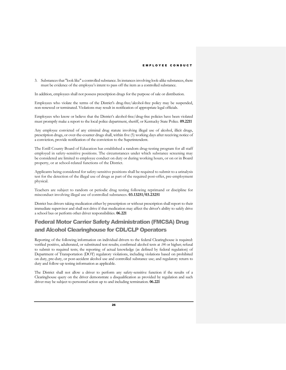#### EMPLOYEE CONDUCT

3. Substances that "look like" a controlled substance. In instances involving look-alike substances, there must be evidence of the employee's intent to pass off the item as a controlled substance.

In addition, employees shall not possess prescription drugs for the purpose of sale or distribution.

Employees who violate the terms of the District's drug-free/alcohol-free policy may be suspended, non-renewed or terminated. Violations may result in notification of appropriate legal officials.

Employees who know or believe that the District's alcohol-free/drug-free policies have been violated must promptly make a report to the local police department, sheriff, or Kentucky State Police. **09.2211**

Any employee convicted of any criminal drug statute involving illegal use of alcohol, illicit drugs, prescription drugs, or over-the-counter drugs shall, within five (5) working days after receiving notice of a conviction, provide notification of the conviction to the Superintendent.

The Estill County Board of Education has established a random drug-testing program for all staff employed in safety-sensitive positions. The circumstances under which substance screening may be considered are limited to employee conduct on duty or during working hours, or on or in Board property, or at school-related functions of the District.

Applicants being considered for safety-sensitive positions shall be required to submit to a urinalysis test for the detection of the illegal use of drugs as part of the required post-offer, pre-employment physical.

Teachers are subject to random or periodic drug testing following reprimand or discipline for misconduct involving illegal use of controlled substances. **03.13251/03.23251**

District bus drivers taking medication either by prescription or without prescription shall report to their immediate supervisor and shall not drive if that medication may affect the driver's ability to safely drive a school bus or perform other driver responsibilities. **06.221**

### <span id="page-29-0"></span>Federal Motor Carrier Safety Administration (FMCSA) Drug and Alcohol Clearinghouse for CDL/CLP Operators

Reporting of the following information on individual drivers to the federal Clearinghouse is required: verified positive, adulterated, or substituted test results; confirmed alcohol tests at .04 or higher; refusal to submit to required tests; the reporting of actual knowledge (as defined by federal regulation) of Department of Transportation (DOT) regulatory violations, including violations based on prohibited on duty, pre-duty, or post-accident alcohol use and controlled substance use; and regulatory return to duty and follow-up testing information as applicable.

The District shall not allow a driver to perform any safety-sensitive function if the results of a Clearinghouse query on the driver demonstrate a disqualification as provided by regulation and such driver may be subject to personnel action up to and including termination. **06.221**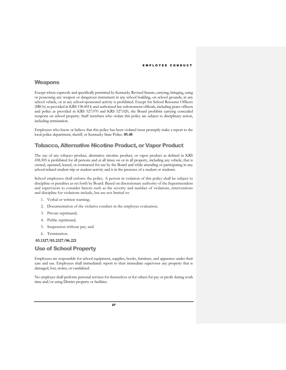#### EMPLOYEE CONDUCT

### <span id="page-30-0"></span>**Weapons**

Except where expressly and specifically permitted by Kentucky Revised Statute, carrying, bringing, using or possessing any weapon or dangerous instrument in any school building, on school grounds, in any school vehicle, or at any school-sponsored activity is prohibited. Except for School Resource Officers (SROs) as provided in KRS 158.4414, and authorized law enforcement officials, including peace officers and police as provided in KRS 527.070 and KRS 527.020, the Board prohibits carrying concealed weapons on school property. Staff members who violate this policy are subject to disciplinary action, including termination.

Employees who know or believe that this policy has been violated must promptly make a report to the local police department, sheriff, or Kentucky State Police. **05.48**

### <span id="page-30-1"></span>Tobacco, Alternative Nicotine Product, or Vapor Product

The use of any tobacco product, alternative nicotine product, or vapor product as defined in KRS 438.305 is prohibited for all persons and at all times on or in all property, including any vehicle, that is owned, operated, leased, or contracted for use by the Board and while attending or participating in any school-related student trip or student activity and is in the presence of a student or students.

School employees shall enforce the policy. A person in violation of this policy shall be subject to discipline or penalties as set forth by Board. Based on discretionary authority of the Superintendent and supervisors to consider factors such as the severity and number of violations, interventions and discipline for violations include, but are not limited to:

- 1. Verbal or written warning;
- 2. Documentation of the violative conduct in the employee evaluation;
- 3. Private reprimand;
- 4. Public reprimand;
- 5. Suspension without pay; and
- 6. Termination.

#### **03.1327/03.2327/06.221**

### <span id="page-30-2"></span>Use of School Property

Employees are responsible for school equipment, supplies, books, furniture, and apparatus under their care and use. Employees shall immediately report to their immediate supervisor any property that is damaged, lost, stolen, or vandalized.

No employee shall perform personal services for themselves or for others for pay or profit during work time and/or using District property or facilities.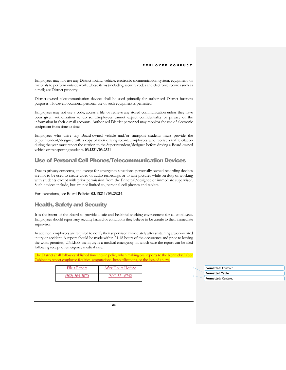Employees may not use any District facility, vehicle, electronic communication system, equipment, or materials to perform outside work. These items (including security codes and electronic records such as e-mail) are District property.

District-owned telecommunication devices shall be used primarily for authorized District business purposes. However, occasional personal use of such equipment is permitted.

Employees may not use a code, access a file, or retrieve any stored communication unless they have been given authorization to do so. Employees cannot expect confidentiality or privacy of the information in their e-mail accounts. Authorized District personnel may monitor the use of electronic equipment from time to time.

Employees who drive any Board-owned vehicle and/or transport students must provide the Superintendent/designee with a copy of their driving record. Employees who receive a traffic citation during the year must report the citation to the Superintendent/designee before driving a Board-owned vehicle or transporting students. **03.1321/03.2321**

### <span id="page-31-0"></span>Use of Personal Cell Phones/Telecommunication Devices

Due to privacy concerns, and except for emergency situations, personally owned recording devices are not to be used to create video or audio recordings or to take pictures while on duty or working with students except with prior permission from the Principal/designee or immediate supervisor. Such devices include, but are not limited to, personal cell phones and tablets.

For exceptions, see Board Policies **03.13214/03.23214**.

### <span id="page-31-1"></span>Health, Safety and Security

It is the intent of the Board to provide a safe and healthful working environment for all employees. Employees should report any security hazard or conditions they believe to be unsafe to their immediate supervisor.

In addition, employees are required to notify their supervisor immediately after sustaining a work-related injury or accident. A report should be made within 24-48 hours of the occurrence and prior to leaving the work premises, UNLESS the injury is a medical emergency, in which case the report can be filed following receipt of emergency medical care.

|  |  | The District shall follow established timelines in policy when making oral reports to the Kentucky Labor |  |
|--|--|----------------------------------------------------------------------------------------------------------|--|
|  |  | Cabinet to report employee fatalities, amoutations, hospitalizations, or the loss of an eye.             |  |
|  |  |                                                                                                          |  |

| File a Report        | After Hours Hotline |
|----------------------|---------------------|
| $(502) - 564 - 3070$ | $(800)$ 321-6742    |

| <b>Formatted: Centered</b> |  |  |  |
|----------------------------|--|--|--|
| <b>Formatted Table</b>     |  |  |  |
| <b>Formatted: Centered</b> |  |  |  |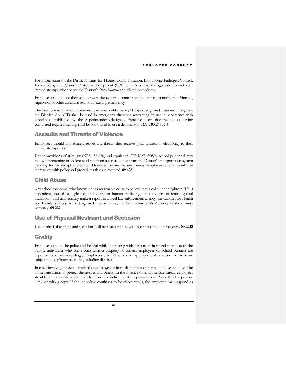#### EMPLOYEE CONDUCT

For information on the District's plans for Hazard Communication, Bloodborne Pathogen Control, Lockout/Tagout, Personal Protective Equipment (PPE), and Asbestos Management, contact your immediate supervisor or see the District's *Policy Manual* and related procedures.

Employees should use their school/worksite two-way communication system to notify the Principal, supervisor or other administrator of an existing emergency.

The District may maintain an automatic external defibrillator (AED) in designated locations throughout the District. An AED shall be used in emergency situations warranting its use in accordance with guidelines established by the Superintendent/designee. Expected users documented as having completed required training shall be authorized to use a defibrillator. **03.14/03.24/05.4**

### <span id="page-32-0"></span>Assaults and Threats of Violence

Employees should immediately report any threats they receive (oral, written or electronic) to their immediate supervisor.

Under provisions of state law (KRS 158.150) and regulation (702 KAR 5:080), school personnel may remove threatening or violent students from a classroom or from the District's transportation system pending further disciplinary action. However, before the need arises, employees should familiarize themselves with policy and procedures that are required. **09.425**

### <span id="page-32-1"></span>Child Abuse

Any school personnel who knows or has reasonable cause to believe that a child under eighteen (18) is dependent, abused or neglected, or a victim of human trafficking, or is a victim of female genital mutilation, shall immediately make a report to a local law enforcement agency, the Cabinet for Health and Family Services or its designated representative, the Commonwealth's Attorney or the County Attorney. **09.227**

### <span id="page-32-2"></span>Use of Physical Restraint and Seclusion

Use of physical restraint and seclusion shall be in accordance with Board policy and procedure. **09.2212**

### <span id="page-32-3"></span>**Civility**

Employees should be polite and helpful while interacting with parents, visitors and members of the public. Individuals who come onto District property or contact employees on school business are expected to behave accordingly. Employees who fail to observe appropriate standards of behavior are subject to disciplinary measures, including dismissal.

In cases involving physical attack of an employee or immediate threat of harm, employees should take immediate action to protect themselves and others. In the absence of an immediate threat, employees should attempt to calmly and politely inform the individual of the provisions of Policy **10.21** or provide him/her with a copy. If the individual continues to be discourteous, the employee may respond as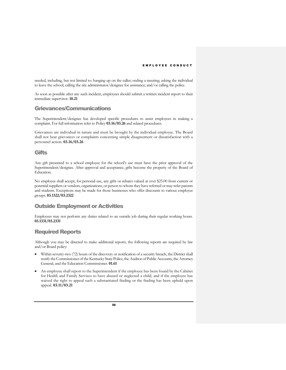needed, including, but not limited to: hanging up on the caller; ending a meeting; asking the individual to leave the school; calling the site administrator/designee for assistance; and/or calling the police.

As soon as possible after any such incident, employees should submit a written incident report to their immediate supervisor. **10.21**

### <span id="page-33-0"></span>Grievances/Communications

The Superintendent/designee has developed specific procedures to assist employees in making a complaint. For full information refer to Policy **03.16/03.26** and related procedures.

Grievances are individual in nature and must be brought by the individual employee. The Board shall not hear grievances or complaints concerning simple disagreement or dissatisfaction with a personnel action. **03.16/03.26**

#### <span id="page-33-1"></span>**Gifts**

Any gift presented to a school employee for the school's use must have the prior approval of the Superintendent/designee. After approval and acceptance, gifts become the property of the Board of Education.

No employee shall accept, for personal use, any gifts or rebates valued at over \$25.00 from current or potential suppliers or vendors, organizations, or person to whom they have referred or may refer parents and students. Exceptions may be made for those businesses who offer discounts to various employee groups. **03.1322/03.2322**

### <span id="page-33-2"></span>Outside Employment or Activities

Employees may not perform any duties related to an outside job during their regular working hours. **03.1331/03.2331**

### <span id="page-33-3"></span>Required Reports

Although you may be directed to make additional reports, the following reports are required by law and/or Board policy:

- Within seventy-two (72) hours of the discovery or notification of a security breach, the District shall notify the Commissioner of the Kentucky State Police, the Auditor of Public Accounts, the Attorney General, and the Education Commissioner. **01.61**
- An employee shall report to the Superintendent if the employee has been found by the Cabinet for Health and Family Services to have abused or neglected a child, and if the employee has waived the right to appeal such a substantiated finding or the finding has been upheld upon appeal. **03.11/03.21**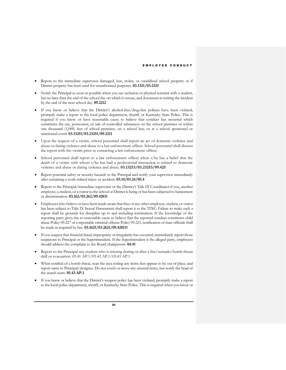#### EMPLOYEE CONDUCT

- Report to the immediate supervisor damaged, lost, stolen, or vandalized school property or if District property has been used for unauthorized purposes. **03.1321/03.2321**
- Notify the Principal as soon as possible when you use seclusion or physical restraint with a student, but no later than the end of the school day on which it occurs, and document in writing the incident by the end of the next school day. **09.2212**
- If you know or believe that the District's alcohol-free/drug-free policies have been violated, promptly make a report to the local police department, sheriff, or Kentucky State Police. This is required if you know or have reasonable cause to believe that conduct has occurred which constitutes the use, possession, or sale of controlled substances on the school premises or within one thousand (1,000) feet of school premises, on a school bus, or at a school sponsored or sanctioned event. **03.13251/03.23251/09.2211**
- Upon the request of a victim, school personnel shall report an act of domestic violence and abuse or dating violence and abuse to a law enforcement officer. School personnel shall discuss the report with the victim prior to contacting a law enforcement officer.
- School personnel shall report to a law enforcement officer when s/he has a belief that the death of a victim with whom s/he has had a professional interaction is related to domestic violence and abuse or dating violence and abuse. **03.13253/03.23253/09.425**
- Report potential safety or security hazards to the Principal and notify your supervisor immediately after sustaining a work-related injury or accident. **03.14/03.24/05.4**
- Report to the Principal/immediate supervisor or the District's Title IX Coordinator if you, another employee, a student, or a visitor to the school or District is being or has been subjected to harassment or discrimination. **03.162/03.262/09.42811**
- Employees who believe or have been made aware that they or any other employee, student, or visitor has been subject to Title IX Sexual Harassment shall report it to the TIXC. Failure to make such a report shall be grounds for discipline up to and including termination. If the knowledge of the reporting party gives rise to reasonable cause to believe that the reported conduct constitutes child abuse Policy 09.227 or a reportable criminal offense Policy 09.221, notification of state officials shall be made as required by law. **03.1621/03.2621/09.428111**
- If you suspect that financial fraud, impropriety or irregularity has occurred, immediately report those suspicions to Principal or the Superintendent. If the Superintendent is the alleged party, employees should address the complaint to the Board chairperson. **04.41**
- Report to the Principal any student who is missing during or after a fire/tornado/bomb threat drill or evacuation. 05.41 AP.1/05.42 AP.1/05.43 AP.1
- When notified of a bomb threat, scan the area noting any items that appear to be out of place, and report same to Principal/designee. Do not touch or move any unusual items, but notify the head of the search team. **05.43 AP.1**
- If you know or believe that the District's weapon policy has been violated, promptly make a report to the local police department, sheriff, or Kentucky State Police. This is required when you know or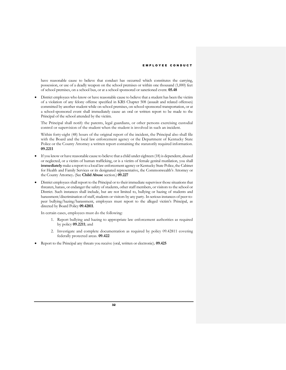have reasonable cause to believe that conduct has occurred which constitutes the carrying, possession, or use of a deadly weapon on the school premises or within one thousand (1,000) feet of school premises, on a school bus, or at a school sponsored or sanctioned event. **05.48**

 District employees who know or have reasonable cause to believe that a student has been the victim of a violation of any felony offense specified in KRS Chapter 508 (assault and related offenses) committed by another student while on school premises, on school-sponsored transportation, or at a school-sponsored event shall immediately cause an oral or written report to be made to the Principal of the school attended by the victim.

The Principal shall notify the parents, legal guardians, or other persons exercising custodial control or supervision of the student when the student is involved in such an incident.

Within forty-eight (48) hours of the original report of the incident, the Principal also shall file with the Board and the local law enforcement agency or the Department of Kentucky State Police or the County Attorney a written report containing the statutorily required information. **09.2211**

- If you know or have reasonable cause to believe that a child under eighteen (18) is dependent, abused or neglected, or a victim of human trafficking, or is a victim of female genital mutilation, you shall **immediately** make a report to a local law enforcement agency or Kentucky State Police, the Cabinet for Health and Family Services or its designated representative, the Commonwealth's Attorney or the County Attorney**.** (See **Child Abuse** section.) **09.227**
- District employees shall report to the Principal or to their immediate supervisor those situations that threaten, harass, or endanger the safety of students, other staff members, or visitors to the school or District. Such instances shall include, but are not limited to, bullying or hazing of students and harassment/discrimination of staff, students or visitors by any party. In serious instances of peer-topeer bullying/hazing/harassment, employees must report to the alleged victim's Principal, as directed by Board Policy **09.42811**.

In certain cases, employees must do the following:

- 1. Report bullying and hazing to appropriate law enforcement authorities as required by policy **09.2211**; and
- 2. Investigate and complete documentation as required by policy 09.42811 covering federally protected areas. **09.422**
- Report to the Principal any threats you receive (oral, written or electronic)**. 09.425**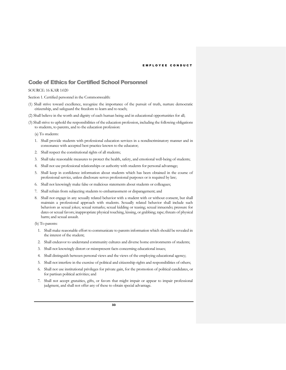### <span id="page-36-0"></span>Code of Ethics for Certified School Personnel

#### SOURCE: 16 KAR 1:020

Section 1. Certified personnel in the Commonwealth:

- (1) Shall strive toward excellence, recognize the importance of the pursuit of truth, nurture democratic citizenship, and safeguard the freedom to learn and to teach;
- (2) Shall believe in the worth and dignity of each human being and in educational opportunities for all;
- (3) Shall strive to uphold the responsibilities of the education profession, including the following obligations to students, to parents, and to the education profession:
	- (a) To students:
	- 1. Shall provide students with professional education services in a nondiscriminatory manner and in consonance with accepted best practice known to the educator;
	- 2. Shall respect the constitutional rights of all students;
	- 3. Shall take reasonable measures to protect the health, safety, and emotional well-being of students;
	- 4. Shall not use professional relationships or authority with students for personal advantage;
	- 5. Shall keep in confidence information about students which has been obtained in the course of professional service, unless disclosure serves professional purposes or is required by law;
	- 6. Shall not knowingly make false or malicious statements about students or colleagues;
	- 7. Shall refrain from subjecting students to embarrassment or disparagement; and
	- 8. Shall not engage in any sexually related behavior with a student with or without consent, but shall maintain a professional approach with students. Sexually related behavior shall include such behaviors as sexual jokes; sexual remarks; sexual kidding or teasing; sexual innuendo; pressure for dates or sexual favors; inappropriate physical touching, kissing, or grabbing; rape; threats of physical harm; and sexual assault.

(b) To parents:

- 1. Shall make reasonable effort to communicate to parents information which should be revealed in the interest of the student;
- 2. Shall endeavor to understand community cultures and diverse home environments of students;
- 3. Shall not knowingly distort or misrepresent facts concerning educational issues;
- 4. Shall distinguish between personal views and the views of the employing educational agency;
- 5. Shall not interfere in the exercise of political and citizenship rights and responsibilities of others;
- 6. Shall not use institutional privileges for private gain, for the promotion of political candidates, or for partisan political activities; and
- 7. Shall not accept gratuities, gifts, or favors that might impair or appear to impair professional judgment, and shall not offer any of these to obtain special advantage.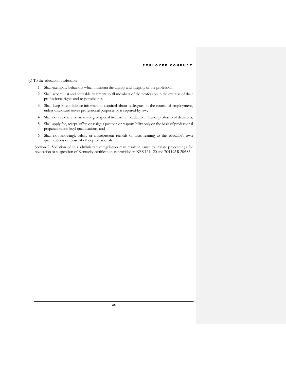(c) To the education profession:

- 1. Shall exemplify behaviors which maintain the dignity and integrity of the profession;
- 2. Shall accord just and equitable treatment to all members of the profession in the exercise of their professional rights and responsibilities;
- 3. Shall keep in confidence information acquired about colleagues in the course of employment, unless disclosure serves professional purposes or is required by law;
- 4. Shall not use coercive means or give special treatment in order to influence professional decisions;
- 5. Shall apply for, accept, offer, or assign a position or responsibility only on the basis of professional preparation and legal qualifications; and
- 6. Shall not knowingly falsify or misrepresent records of facts relating to the educator's own qualifications or those of other professionals.

Section 2. Violation of this administrative regulation may result in cause to initiate proceedings for revocation or suspension of Kentucky certification as provided in KRS 161.120 and 704 KAR 20:585.